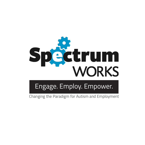

# Engage. Employ. Empower.

Changing the Paradigm for Autism and Employment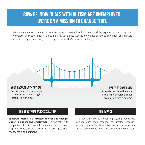### **80% OF INDIVIDUALS WITH AUTISM ARE UNEMPLOYED. WE'RE ON A MISSION TO CHANGE THAT.**

Many young adults with autism have the desire to be employed but lack the skills, experience in an integrated workplace, and opportunity. At the same time, companies lack the knowledge of how to implement and manage an autism employment program. The Spectrum Works Solution is the bridge.



are disconnected from career pathways and job training in an integrated workplace.

#### **Partner Companies**

integrate people with autism into their workforce through scalable on-site programs.

### **THE SPECTRUM WORKS SOLUTION THE IMPACT**

**Spectrum Works is a trusted advisor and thought leader in autism and employment.** It partners with companies to implement scalable employment programs that can be customized according to their needs, goals and objectives.

The Spectrum Works model helps young adults with autism reach their potential for stable, successful, economically self-sufficient lives and, at the same time, helps partner companies create integrated workforces.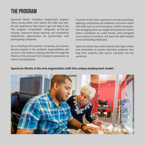### **THE PROGRAM**

Spectrum Works' innovative employment program offers young adults with autism the skills and reallife job experiences they need to get and keep a job. The program incorporates integrated on-the-job training, classroom-based learning, and competitive employment opportunities via partnerships with participating companies.

By co-locating within partner companies, job coaches become experts in the students' responsibilities and act as on-site mentors, staying with them through the lifetime of the process from training to placement as interns and employees.

A portion of the intern experience includes workshops applying a proprietary job readiness curriculum where soft skills such as communication, conflict resolution, and managing stress are taught and practiced. Interns enter a workplace as a paid trainee, work alongside neuro-typical co-workers, and learn the skills needed to be outstanding employees.

Spectrum Works also works directly with high schools and universities to provide internship programs that help their students with autism transition into the workforce.

#### **Spectrum Works is the only organization with this unique employment model.**

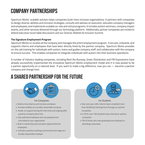## **COMPANY PARTNERSHIPS**

Spectrum Works' scalable solution helps companies build more inclusive organizations. It partners with companies to design diverse-abilities and inclusion strategies, consults and advises on execution, educates company managers and employees, and implements scalable on-site and virtual programs. It includes autism seminars, company impact events, and other services delivered through our technology platform. Additionally, partner companies are invited to attend executive round table discussions and our Diverse-Abilities & Inclusion Summit.

#### **The Signature Employment Program**

Spectrum Works co-locates at the company and manages the entire employment program. It recruits, onboards, and supports interns and employees that have been directly hired by the partner company. Spectrum Works provides on-the-job training for individuals with autism, trains and guides company staff, and collaborates with the company to ensure success. This enables companies to integrate individuals with autism into their business operations.

A number of industry-leading companies, including Rent the Runway, Green Distribution and FM Expressions have already successfully implemented the innovative Spectrum Works employment model and it is now poised to be a partner opportunity on a national level. If you want to make a big difference, now you can — become a partner company and change lives.

### **A SHARED PARTNERSHIP FOR THE FUTURE**



- Build a more diverse and inclusive workplace
- Increase visibility as a socially responsible company
- Hands-on support during the internship and ongoing after a partner company direct hire
- Gain potential employees who are prepared and committed to your organization
- Built in mentorship and volunteer opportunities for employees
- Cultivate a positive working environment and image as a socially responsible employer



#### For Students

- Year over year, 400+ interns have completed more than 50,000 job training hours through our partner companies
- In 2019, over 100 students have interned at partner companies
- 70% of those who have graduated are employed or attending universities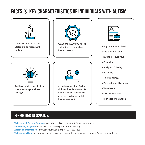# **Facts** & **Key Characterisitics of individuals with autism**



### **FOR FURTHER INFORMATION:**

**To Become A Partner Company:** Ann Marie Sullivan – annmarie@spectrumworks.org **Job Training Program:** Beverly Ficon – beverly@spectrumworks.org **Additional Information:** info@spectrumworks.org or 201-552-2055 **To Become a Donor** visit our website at www.spectrumworks.org or contact annmarie@spectrumworks.org